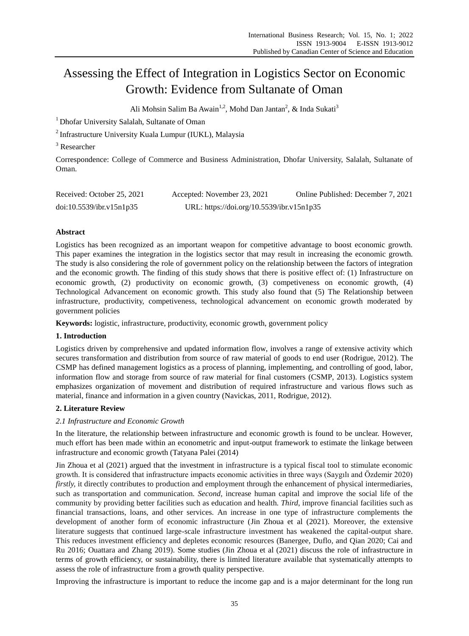# Assessing the Effect of Integration in Logistics Sector on Economic Growth: Evidence from Sultanate of Oman

Ali Mohsin Salim Ba Awain<sup>1,2</sup>, Mohd Dan Jantan<sup>2</sup>, & Inda Sukati<sup>3</sup>

<sup>1</sup> Dhofar University Salalah, Sultanate of Oman

<sup>2</sup>Infrastructure University Kuala Lumpur (IUKL), Malaysia

<sup>3</sup> Researcher

Correspondence: College of Commerce and Business Administration, Dhofar University, Salalah, Sultanate of Oman.

| Received: October 25, 2021 | Accepted: November 23, 2021               | Online Published: December 7, 2021 |
|----------------------------|-------------------------------------------|------------------------------------|
| doi:10.5539/ibr.v15n1p35   | URL: https://doi.org/10.5539/ibr.v15n1p35 |                                    |

# **Abstract**

Logistics has been recognized as an important weapon for competitive advantage to boost economic growth. This paper examines the integration in the logistics sector that may result in increasing the economic growth. The study is also considering the role of government policy on the relationship between the factors of integration and the economic growth. The finding of this study shows that there is positive effect of: (1) Infrastructure on economic growth, (2) productivity on economic growth, (3) competiveness on economic growth, (4) Technological Advancement on economic growth. This study also found that (5) The Relationship between infrastructure, productivity, competiveness, technological advancement on economic growth moderated by government policies

**Keywords:** logistic, infrastructure, productivity, economic growth, government policy

## **1. Introduction**

Logistics driven by comprehensive and updated information flow, involves a range of extensive activity which secures transformation and distribution from source of raw material of goods to end user (Rodrigue, 2012). The CSMP has defined management logistics as a process of planning, implementing, and controlling of good, labor, information flow and storage from source of raw material for final customers (CSMP, 2013). Logistics system emphasizes organization of movement and distribution of required infrastructure and various flows such as material, finance and information in a given country (Navickas, 2011, Rodrigue, 2012).

# **2. Literature Review**

## *2.1 Infrastructure and Economic Growth*

In the literature, the relationship between infrastructure and economic growth is found to be unclear. However, much effort has been made within an econometric and input-output framework to estimate the linkage between infrastructure and economic growth (Tatyana Palei (2014)

Jin Zhoua et al (2021) argued that the investment in infrastructure is a typical fiscal tool to stimulate economic growth. It is considered that infrastructure impacts economic activities in three ways (Saygılı and Özdemir 2020) *firstly,* it directly contributes to production and employment through the enhancement of physical intermediaries, such as transportation and communication. *Second,* increase human capital and improve the social life of the community by providing better facilities such as education and health. *Third*, improve financial facilities such as financial transactions, loans, and other services. An increase in one type of infrastructure complements the development of another form of economic infrastructure (Jin Zhoua et al (2021). Moreover, the extensive literature suggests that continued large-scale infrastructure investment has weakened the capital-output share. This reduces investment efficiency and depletes economic resources (Banergee, Duflo, and Qian 2020; Cai and Ru 2016; Ouattara and Zhang 2019). Some studies (Jin Zhoua et al (2021) discuss the role of infrastructure in terms of growth efficiency, or sustainability, there is limited literature available that systematically attempts to assess the role of infrastructure from a growth quality perspective.

Improving the infrastructure is important to reduce the income gap and is a major determinant for the long run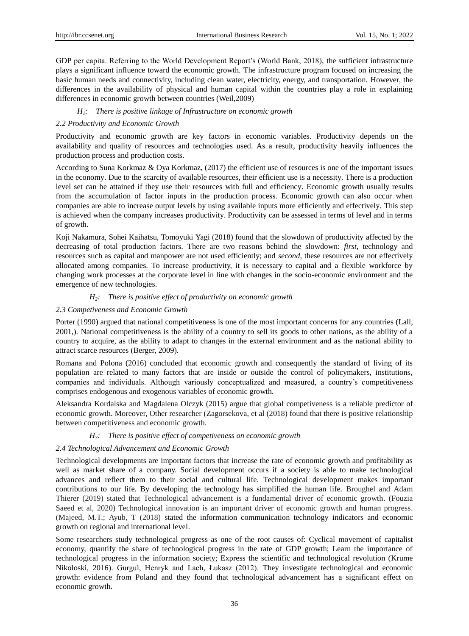GDP per capita. Referring to the World Development Report"s (World Bank, 2018), the sufficient infrastructure plays a significant influence toward the economic growth. The infrastructure program focused on increasing the basic human needs and connectivity, including clean water, electricity, energy, and transportation. However, the differences in the availability of physical and human capital within the countries play a role in explaining differences in economic growth between countries (Weil,2009)

## *H1: There is positive linkage of Infrastructure on economic growth*

# *2.2 Productivity and Economic Growth*

Productivity and economic growth are key factors in economic variables. Productivity depends on the availability and quality of resources and technologies used. As a result, productivity heavily influences the production process and production costs.

According to Suna Korkmaz & Oya Korkmaz, (2017) the efficient use of resources is one of the important issues in the economy. Due to the scarcity of available resources, their efficient use is a necessity. There is a production level set can be attained if they use their resources with full and efficiency. Economic growth usually results from the accumulation of factor inputs in the production process. Economic growth can also occur when companies are able to increase output levels by using available inputs more efficiently and effectively. This step is achieved when the company increases productivity. Productivity can be assessed in terms of level and in terms of growth.

Koji Nakamura, Sohei Kaihatsu, Tomoyuki Yagi (2018) found that the slowdown of productivity affected by the decreasing of total production factors. There are two reasons behind the slowdown: *first,* technology and resources such as capital and manpower are not used efficiently; and *second*, these resources are not effectively allocated among companies. To increase productivity, it is necessary to capital and a flexible workforce by changing work processes at the corporate level in line with changes in the socio-economic environment and the emergence of new technologies.

# *H2: There is positive effect of productivity on economic growth*

# *2.3 Competiveness and Economic Growth*

Porter (1990) argued that national competitiveness is one of the most important concerns for any countries (Lall, 2001,). National competitiveness is the ability of a country to sell its goods to other nations, as the ability of a country to acquire, as the ability to adapt to changes in the external environment and as the national ability to attract scarce resources (Berger, 2009).

Romana and Polona (2016) concluded that economic growth and consequently the standard of living of its population are related to many factors that are inside or outside the control of policymakers, institutions, companies and individuals. Although variously conceptualized and measured, a country"s competitiveness comprises endogenous and exogenous variables of economic growth.

Aleksandra Kordalska and Magdalena Olczyk (2015) argue that global competiveness is a reliable predictor of economic growth. Moreover, Other researcher (Zagorsekova, et al (2018) found that there is positive relationship between competitiveness and economic growth.

## *H3: There is positive effect of competiveness on economic growth*

## *2.4 Technological Advancement and Economic Growth*

Technological developments are important factors that increase the rate of economic growth and profitability as well as market share of a company. Social development occurs if a society is able to make technological advances and reflect them to their social and cultural life. Technological development makes important contributions to our life. By developing the technology has simplified the human life. Broughel and Adam Thierer (2019) stated that Technological advancement is a fundamental driver of economic growth. (Fouzia Saeed et al, 2020) Technological innovation is an important driver of economic growth and human progress. (Majeed, M.T.; Ayub, T (2018) stated the information communication technology indicators and economic growth on regional and international level.

Some researchers study technological progress as one of the root causes of: Cyclical movement of capitalist economy, quantify the share of technological progress in the rate of GDP growth; Learn the importance of technological progress in the information society; Express the scientific and technological revolution (Krume Nikoloski, 2016). Gurgul, Henryk and Lach, Łukasz (2012). They investigate technological and economic growth: evidence from Poland and they found that technological advancement has a significant effect on economic growth.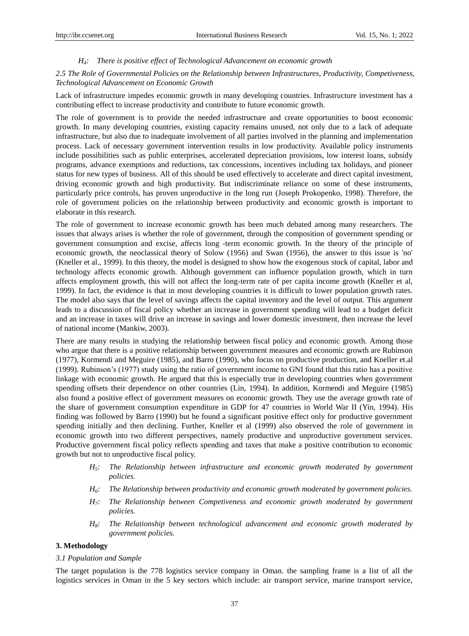#### *H4: There is positive effect of Technological Advancement on economic growth*

## *2.5 The Role of Governmental Policies on the Relationship between Infrastructures, Productivity, Competiveness, Technological Advancement on Economic Growth*

Lack of infrastructure impedes economic growth in many developing countries. Infrastructure investment has a contributing effect to increase productivity and contribute to future economic growth.

The role of government is to provide the needed infrastructure and create opportunities to boost economic growth. In many developing countries, existing capacity remains unused, not only due to a lack of adequate infrastructure, but also due to inadequate involvement of all parties involved in the planning and implementation process. Lack of necessary government intervention results in low productivity. Available policy instruments include possibilities such as public enterprises, accelerated depreciation provisions, low interest loans, subsidy programs, advance exemptions and reductions, tax concessions, incentives including tax holidays, and pioneer status for new types of business. All of this should be used effectively to accelerate and direct capital investment, driving economic growth and high productivity. But indiscriminate reliance on some of these instruments, particularly price controls, has proven unproductive in the long run (Joseph Prokopenko, 1998). Therefore, the role of government policies on the relationship between productivity and economic growth is important to elaborate in this research.

The role of government to increase economic growth has been much debated among many researchers. The issues that always arises is whether the role of government, through the composition of government spending or government consumption and excise, affects long -term economic growth. In the theory of the principle of economic growth, the neoclassical theory of Solow (1956) and Swan (1956), the answer to this issue is 'no' (Kneller et al., 1999). In this theory, the model is designed to show how the exogenous stock of capital, labor and technology affects economic growth. Although government can influence population growth, which in turn affects employment growth, this will not affect the long-term rate of per capita income growth (Kneller et al, 1999). In fact, the evidence is that in most developing countries it is difficult to lower population growth rates. The model also says that the level of savings affects the capital inventory and the level of output. This argument leads to a discussion of fiscal policy whether an increase in government spending will lead to a budget deficit and an increase in taxes will drive an increase in savings and lower domestic investment, then increase the level of national income (Mankiw, 2003).

There are many results in studying the relationship between fiscal policy and economic growth. Among those who argue that there is a positive relationship between government measures and economic growth are Rubinson (1977), Kormendi and Meguire (1985), and Barro (1990), who focus on productive production, and Kneller et.al (1999). Rubinson"s (1977) study using the ratio of government income to GNI found that this ratio has a positive linkage with economic growth. He argued that this is especially true in developing countries when government spending offsets their dependence on other countries (Lin, 1994). In addition, Kormendi and Meguire (1985) also found a positive effect of government measures on economic growth. They use the average growth rate of the share of government consumption expenditure in GDP for 47 countries in World War II (Yin, 1994). His finding was followed by Barro (1990) but he found a significant positive effect only for productive government spending initially and then declining. Further, Kneller et al (1999) also observed the role of government in economic growth into two different perspectives, namely productive and unproductive government services. Productive government fiscal policy reflects spending and taxes that make a positive contribution to economic growth but not to unproductive fiscal policy.

- *H5: The Relationship between infrastructure and economic growth moderated by government policies.*
- *H6: The Relationship between productivity and economic growth moderated by government policies.*
- *H7: The Relationship between Competiveness and economic growth moderated by government policies.*
- *H8: The Relationship between technological advancement and economic growth moderated by government policies.*

# **3. Methodology**

#### *3.1 Population and Sample*

The target population is the 778 logistics service company in Oman. the sampling frame is a list of all the logistics services in Oman in the 5 key sectors which include: air transport service, marine transport service,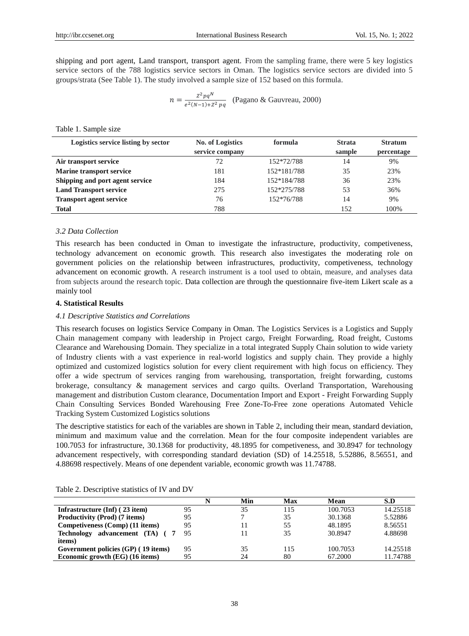shipping and port agent, Land transport, transport agent. From the sampling frame, there were 5 key logistics service sectors of the 788 logistics service sectors in Oman. The logistics service sectors are divided into 5 groups/strata (See Table 1). The study involved a sample size of 152 based on this formula.

$$
n = \frac{z^2 p q^N}{e^{2(N-1) + Z^2 p q}}
$$
 (Pagano & Gauvreau, 2000)

Table 1. Sample size

| Logistics service listing by sector | No. of Logistics | formula     | <b>Strata</b> | <b>Stratum</b> |
|-------------------------------------|------------------|-------------|---------------|----------------|
|                                     | service company  |             | sample        | percentage     |
| Air transport service               | 72               | 152*72/788  | 14            | 9%             |
| <b>Marine transport service</b>     | 181              | 152*181/788 | 35            | 23%            |
| Shipping and port agent service     | 184              | 152*184/788 | 36            | 23%            |
| <b>Land Transport service</b>       | 275              | 152*275/788 | 53            | 36%            |
| <b>Transport agent service</b>      | 76               | 152*76/788  | 14            | 9%             |
| <b>Total</b>                        | 788              |             | 152           | 100%           |

#### *3.2 Data Collection*

This research has been conducted in Oman to investigate the infrastructure, productivity, competiveness, technology advancement on economic growth. This research also investigates the moderating role on government policies on the relationship between infrastructures, productivity, competiveness, technology advancement on economic growth. A research instrument is a tool used to obtain, measure, and analyses data from subjects around the research topic. Data collection are through the questionnaire five-item Likert scale as a mainly tool

#### **4. Statistical Results**

## *4.1 Descriptive Statistics and Correlations*

This research focuses on logistics Service Company in Oman. The Logistics Services is a Logistics and Supply Chain management company with leadership in Project cargo, Freight Forwarding, Road freight, Customs Clearance and Warehousing Domain. They specialize in a total integrated Supply Chain solution to wide variety of Industry clients with a vast experience in real-world logistics and supply chain. They provide a highly optimized and customized logistics solution for every client requirement with high focus on efficiency. They offer a wide spectrum of services ranging from warehousing, transportation, freight forwarding, customs brokerage, consultancy & management services and cargo quilts. Overland Transportation, Warehousing management and distribution Custom clearance, Documentation Import and Export - Freight Forwarding Supply Chain Consulting Services Bonded Warehousing Free Zone-To-Free zone operations Automated Vehicle Tracking System Customized Logistics solutions

The descriptive statistics for each of the variables are shown in Table 2, including their mean, standard deviation, minimum and maximum value and the correlation. Mean for the four composite independent variables are 100.7053 for infrastructure, 30.1368 for productivity, 48.1895 for competiveness, and 30.8947 for technology advancement respectively, with corresponding standard deviation (SD) of 14.25518, 5.52886, 8.56551, and 4.88698 respectively. Means of one dependent variable, economic growth was 11.74788.

|                                     |    | Min | Max | Mean     | S.D      |
|-------------------------------------|----|-----|-----|----------|----------|
| Infrastructure (Inf) (23 item)      | 95 | 35  | 115 | 100.7053 | 14.25518 |
| Productivity (Prod) (7 items)       | 95 |     | 35  | 30.1368  | 5.52886  |
| Competiveness (Comp) (11 items)     | 95 | ۱1  | 55  | 48.1895  | 8.56551  |
| Technology advancement (TA) (7      | 95 | 11  | 35  | 30.8947  | 4.88698  |
| items)                              |    |     |     |          |          |
| Government policies (GP) (19 items) | 95 | 35  | 115 | 100.7053 | 14.25518 |
| Economic growth (EG) (16 items)     | 95 | 24  | 80  | 67.2000  | 11.74788 |

Table 2. Descriptive statistics of IV and DV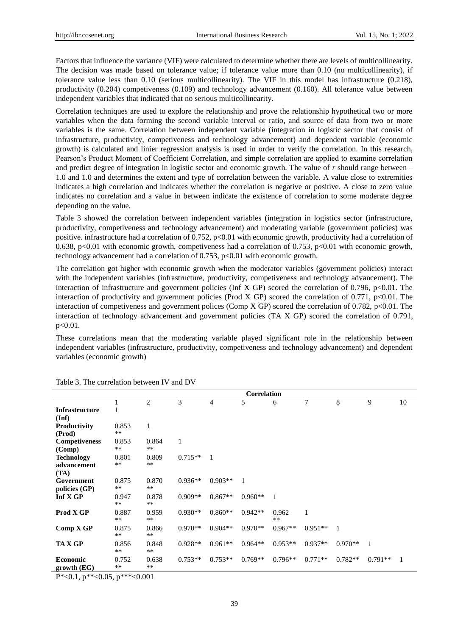Factors that influence the variance (VIF) were calculated to determine whether there are levels of multicollinearity. The decision was made based on tolerance value; if tolerance value more than 0.10 (no multicollinearity), if tolerance value less than 0.10 (serious multicollinearity). The VIF in this model has infrastructure (0.218), productivity (0.204) competiveness (0.109) and technology advancement (0.160). All tolerance value between independent variables that indicated that no serious multicollinearity.

Correlation techniques are used to explore the relationship and prove the relationship hypothetical two or more variables when the data forming the second variable interval or ratio, and source of data from two or more variables is the same. Correlation between independent variable (integration in logistic sector that consist of infrastructure, productivity, competiveness and technology advancement) and dependent variable (economic growth) is calculated and linier regression analysis is used in order to verify the correlation. In this research, Pearson"s Product Moment of Coefficient Correlation, and simple correlation are applied to examine correlation and predict degree of integration in logistic sector and economic growth. The value of *r* should range between – 1.0 and 1.0 and determines the extent and type of correlation between the variable. A value close to extremities indicates a high correlation and indicates whether the correlation is negative or positive. A close to zero value indicates no correlation and a value in between indicate the existence of correlation to some moderate degree depending on the value.

Table 3 showed the correlation between independent variables (integration in logistics sector (infrastructure, productivity, competiveness and technology advancement) and moderating variable (government policies) was positive. infrastructure had a correlation of  $0.752$ ,  $p<0.01$  with economic growth, productivity had a correlation of 0.638, p<0.01 with economic growth, competiveness had a correlation of 0.753, p<0.01 with economic growth, technology advancement had a correlation of 0.753, p<0.01 with economic growth.

The correlation got higher with economic growth when the moderator variables (government policies) interact with the independent variables (infrastructure, productivity, competiveness and technology advancement). The interaction of infrastructure and government policies (Inf X GP) scored the correlation of  $0.796$ ,  $p<0.01$ . The interaction of productivity and government policies (Prod X GP) scored the correlation of 0.771,  $p<0.01$ . The interaction of competiveness and government polices (Comp X GP) scored the correlation of  $0.782$ , p<0.01. The interaction of technology advancement and government policies (TA X GP) scored the correlation of 0.791,  $p < 0.01$ .

These correlations mean that the moderating variable played significant role in the relationship between independent variables (infrastructure, productivity, competiveness and technology advancement) and dependent variables (economic growth)

|                       |                |              |           |                | <b>Correlation</b> |               |              |              |           |                |
|-----------------------|----------------|--------------|-----------|----------------|--------------------|---------------|--------------|--------------|-----------|----------------|
|                       |                | 2            | 3         | $\overline{4}$ | 5                  | 6             | 7            | 8            | 9         | 10             |
| <b>Infrastructure</b> |                |              |           |                |                    |               |              |              |           |                |
| (Inf)                 |                |              |           |                |                    |               |              |              |           |                |
| <b>Productivity</b>   | 0.853          | $\mathbf{1}$ |           |                |                    |               |              |              |           |                |
| (Prod)                | $***$          |              |           |                |                    |               |              |              |           |                |
| <b>Competiveness</b>  | 0.853          | 0.864        | 1         |                |                    |               |              |              |           |                |
| $(\mathbf{Comp})$     | $***$          | $***$        |           |                |                    |               |              |              |           |                |
| <b>Technology</b>     | 0.801          | 0.809        | $0.715**$ | -1             |                    |               |              |              |           |                |
| advancement           | $***$          | $***$        |           |                |                    |               |              |              |           |                |
| (TA)                  |                |              |           |                |                    |               |              |              |           |                |
| Government            | 0.875          | 0.870        | $0.936**$ | $0.903**$      | $\mathbf{1}$       |               |              |              |           |                |
| policies (GP)         | $***$          | $***$        |           |                |                    |               |              |              |           |                |
| Inf X GP              | 0.947<br>$***$ | 0.878<br>**  | $0.909**$ | $0.867**$      | $0.960**$          | -1            |              |              |           |                |
| Prod X GP             | 0.887<br>$**$  | 0.959<br>**  | $0.930**$ | $0.860**$      | $0.942**$          | 0.962<br>$**$ | $\mathbf{1}$ |              |           |                |
| Comp X GP             | 0.875<br>$**$  | 0.866<br>**  | $0.970**$ | $0.904**$      | $0.970**$          | $0.967**$     | $0.951**$    | $\mathbf{1}$ |           |                |
| <b>TAX GP</b>         | 0.856<br>$***$ | 0.848<br>**  | $0.928**$ | $0.961**$      | $0.964**$          | $0.953**$     | $0.937**$    | $0.970**$    | 1         |                |
| <b>Economic</b>       | 0.752          | 0.638        | $0.753**$ | $0.753**$      | $0.769**$          | $0.796**$     | $0.771**$    | $0.782**$    | $0.791**$ | $\overline{1}$ |
| growth (EG)           | $***$          | **           |           |                |                    |               |              |              |           |                |

#### Table 3. The correlation between IV and DV

 $P^*$  < 0.1,  $p^{**}$  < 0.05,  $p^{***}$  < 0.001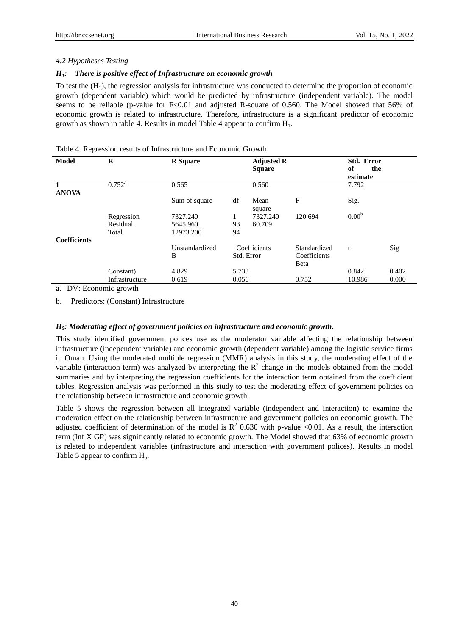#### *4.2 Hypotheses Testing*

## *H1: There is positive effect of Infrastructure on economic growth*

To test the  $(H_1)$ , the regression analysis for infrastructure was conducted to determine the proportion of economic growth (dependent variable) which would be predicted by infrastructure (independent variable). The model seems to be reliable (p-value for F<0.01 and adjusted R-square of 0.560. The Model showed that 56% of economic growth is related to infrastructure. Therefore, infrastructure is a significant predictor of economic growth as shown in table 4. Results in model Table 4 appear to confirm  $H_1$ .

| Model               | $\bf{R}$        | <b>R</b> Square |            | <b>Adjusted R</b><br><b>Square</b> |              | Std. Error<br>of<br>the<br>estimate |       |
|---------------------|-----------------|-----------------|------------|------------------------------------|--------------|-------------------------------------|-------|
| <b>ANOVA</b>        | $0.752^{\rm a}$ | 0.565           |            | 0.560                              |              | 7.792                               |       |
|                     |                 | Sum of square   | df         | Mean<br>square                     | F            | Sig.                                |       |
|                     | Regression      | 7327.240        | 1          | 7327.240                           | 120.694      | 0.00 <sup>b</sup>                   |       |
|                     | Residual        | 5645.960        | 93         | 60.709                             |              |                                     |       |
|                     | Total           | 12973.200       | 94         |                                    |              |                                     |       |
| <b>Coefficients</b> |                 |                 |            |                                    |              |                                     |       |
|                     |                 | Unstandardized  |            | Coefficients                       | Standardized | t                                   | Sig   |
|                     |                 | B               | Std. Error |                                    | Coefficients |                                     |       |
|                     |                 |                 |            |                                    | Beta         |                                     |       |
|                     | Constant)       | 4.829           | 5.733      |                                    |              | 0.842                               | 0.402 |
|                     | Infrastructure  | 0.619           | 0.056      |                                    | 0.752        | 10.986                              | 0.000 |

Table 4. Regression results of Infrastructure and Economic Growth

a. DV: Economic growth

b. Predictors: (Constant) Infrastructure

## *H5: Moderating effect of government policies on infrastructure and economic growth.*

This study identified government polices use as the moderator variable affecting the relationship between infrastructure (independent variable) and economic growth (dependent variable) among the logistic service firms in Oman. Using the moderated multiple regression (MMR) analysis in this study, the moderating effect of the variable (interaction term) was analyzed by interpreting the  $\mathbb{R}^2$  change in the models obtained from the model summaries and by interpreting the regression coefficients for the interaction term obtained from the coefficient tables. Regression analysis was performed in this study to test the moderating effect of government policies on the relationship between infrastructure and economic growth.

Table 5 shows the regression between all integrated variable (independent and interaction) to examine the moderation effect on the relationship between infrastructure and government policies on economic growth. The adjusted coefficient of determination of the model is  $R^2$  0.630 with p-value <0.01. As a result, the interaction term (Inf X GP) was significantly related to economic growth. The Model showed that 63% of economic growth is related to independent variables (infrastructure and interaction with government polices). Results in model Table 5 appear to confirm  $H_5$ .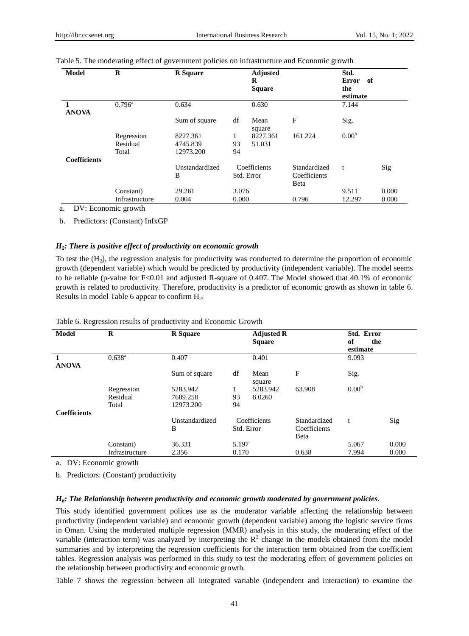| <b>Model</b>        | $\bf{R}$        | <b>R</b> Square |       | <b>Adjusted</b><br>R<br><b>Square</b> |                      | Std.<br><b>Error</b><br>- of<br>the<br>estimate |       |
|---------------------|-----------------|-----------------|-------|---------------------------------------|----------------------|-------------------------------------------------|-------|
| <b>ANOVA</b>        | $0.796^{\rm a}$ | 0.634           |       | 0.630                                 |                      | 7.144                                           |       |
|                     |                 | Sum of square   | df    | Mean<br>square                        | F                    | Sig.                                            |       |
|                     | Regression      | 8227.361        | 1     | 8227.361                              | 161.224              | 0.00 <sup>b</sup>                               |       |
|                     | Residual        | 4745.839        | 93    | 51.031                                |                      |                                                 |       |
|                     | Total           | 12973.200       | 94    |                                       |                      |                                                 |       |
| <b>Coefficients</b> |                 |                 |       |                                       |                      |                                                 |       |
|                     |                 | Unstandardized  |       | Coefficients                          | Standardized         | t                                               | Sig   |
|                     |                 | B               |       | Std. Error                            | Coefficients<br>Beta |                                                 |       |
|                     | Constant)       | 29.261          | 3.076 |                                       |                      | 9.511                                           | 0.000 |
|                     | Infrastructure  | 0.004           | 0.000 |                                       | 0.796                | 12.297                                          | 0.000 |

|  |  |  | Table 5. The moderating effect of government policies on infrastructure and Economic growth |  |  |
|--|--|--|---------------------------------------------------------------------------------------------|--|--|
|  |  |  |                                                                                             |  |  |

a. DV: Economic growth

b. Predictors: (Constant) InfxGP

#### *H2: There is positive effect of productivity on economic growth*

To test the  $(H<sub>2</sub>)$ , the regression analysis for productivity was conducted to determine the proportion of economic growth (dependent variable) which would be predicted by productivity (independent variable). The model seems to be reliable (p-value for F<0.01 and adjusted R-square of 0.407. The Model showed that 40.1% of economic growth is related to productivity. Therefore, productivity is a predictor of economic growth as shown in table 6. Results in model Table 6 appear to confirm H2.

| <b>Model</b>        | R              | <b>R</b> Square |            | <b>Adjusted R</b><br><b>Square</b> |              | Std. Error<br>of<br>the<br>estimate |       |
|---------------------|----------------|-----------------|------------|------------------------------------|--------------|-------------------------------------|-------|
| <b>ANOVA</b>        | $0.638^{a}$    | 0.407           |            | 0.401                              |              | 9.093                               |       |
|                     |                | Sum of square   | df         | Mean<br>square                     | F            | Sig.                                |       |
|                     | Regression     | 5283.942        | 1          | 5283.942                           | 63.908       | 0.00 <sup>b</sup>                   |       |
|                     | Residual       | 7689.258        | 93         | 8.0260                             |              |                                     |       |
|                     | Total          | 12973.200       | 94         |                                    |              |                                     |       |
| <b>Coefficients</b> |                |                 |            |                                    |              |                                     |       |
|                     |                | Unstandardized  |            | Coefficients                       | Standardized | t                                   | Sig   |
|                     |                | B               | Std. Error |                                    | Coefficients |                                     |       |
|                     |                |                 |            |                                    | Beta         |                                     |       |
|                     | Constant)      | 36.331          | 5.197      |                                    |              | 5.067                               | 0.000 |
|                     | Infrastructure | 2.356           | 0.170      |                                    | 0.638        | 7.994                               | 0.000 |

Table 6. Regression results of productivity and Economic Growth

a. DV: Economic growth

b. Predictors: (Constant) productivity

## *H6: The Relationship between productivity and economic growth moderated by government policies.*

This study identified government polices use as the moderator variable affecting the relationship between productivity (independent variable) and economic growth (dependent variable) among the logistic service firms in Oman. Using the moderated multiple regression (MMR) analysis in this study, the moderating effect of the variable (interaction term) was analyzed by interpreting the  $\mathbb{R}^2$  change in the models obtained from the model summaries and by interpreting the regression coefficients for the interaction term obtained from the coefficient tables. Regression analysis was performed in this study to test the moderating effect of government policies on the relationship between productivity and economic growth.

Table 7 shows the regression between all integrated variable (independent and interaction) to examine the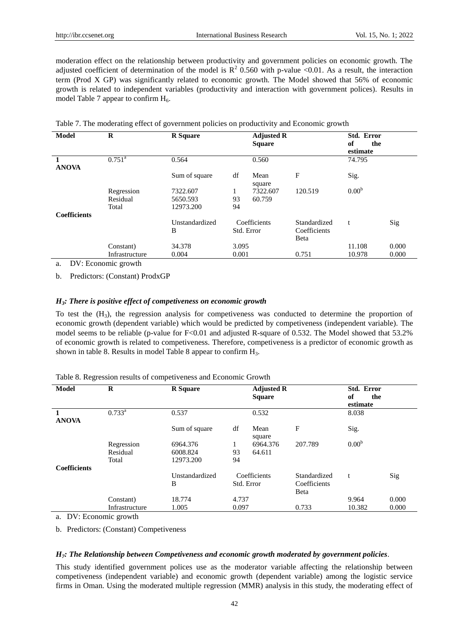moderation effect on the relationship between productivity and government policies on economic growth. The adjusted coefficient of determination of the model is  $R^2$  0.560 with p-value <0.01. As a result, the interaction term (Prod X GP) was significantly related to economic growth. The Model showed that 56% of economic growth is related to independent variables (productivity and interaction with government polices). Results in model Table 7 appear to confirm  $H_6$ .

| <b>Model</b>        | $\bf{R}$        | <b>R</b> Square |            | <b>Adjusted R</b><br><b>Square</b> |              | Std. Error<br>of<br>the<br>estimate |       |
|---------------------|-----------------|-----------------|------------|------------------------------------|--------------|-------------------------------------|-------|
| <b>ANOVA</b>        | $0.751^{\rm a}$ | 0.564           |            | 0.560                              |              | 74.795                              |       |
|                     |                 | Sum of square   | df         | Mean<br>square                     | F            | Sig.                                |       |
|                     | Regression      | 7322.607        | 1          | 7322.607                           | 120.519      | 0.00 <sup>b</sup>                   |       |
|                     | Residual        | 5650.593        | 93         | 60.759                             |              |                                     |       |
|                     | Total           | 12973.200       | 94         |                                    |              |                                     |       |
| <b>Coefficients</b> |                 |                 |            |                                    |              |                                     |       |
|                     |                 | Unstandardized  |            | Coefficients                       | Standardized | t                                   | Sig   |
|                     |                 | B               | Std. Error |                                    | Coefficients |                                     |       |
|                     |                 |                 |            |                                    | Beta         |                                     |       |
|                     | Constant)       | 34.378          | 3.095      |                                    |              | 11.108                              | 0.000 |
|                     | Infrastructure  | 0.004           | 0.001      |                                    | 0.751        | 10.978                              | 0.000 |

Table 7. The moderating effect of government policies on productivity and Economic growth

a. DV: Economic growth

b. Predictors: (Constant) ProdxGP

# *H3: There is positive effect of competiveness on economic growth*

To test the  $(H_3)$ , the regression analysis for competiveness was conducted to determine the proportion of economic growth (dependent variable) which would be predicted by competiveness (independent variable). The model seems to be reliable (p-value for F<0.01 and adjusted R-square of 0.532. The Model showed that 53.2% of economic growth is related to competiveness. Therefore, competiveness is a predictor of economic growth as shown in table 8. Results in model Table 8 appear to confirm  $H_3$ .

| <b>Model</b>                 | $\bf{R}$        | <b>R</b> Square |       | <b>Adjusted R</b><br><b>Square</b> |              | Std. Error<br>of<br>the<br>estimate |       |
|------------------------------|-----------------|-----------------|-------|------------------------------------|--------------|-------------------------------------|-------|
| $\mathbf{1}$<br><b>ANOVA</b> | $0.733^{\rm a}$ | 0.537           |       | 0.532                              |              | 8.038                               |       |
|                              |                 | Sum of square   | df    | Mean<br>square                     | $\mathbf F$  | Sig.                                |       |
|                              | Regression      | 6964.376        | 1     | 6964.376                           | 207.789      | 0.00 <sup>b</sup>                   |       |
|                              | Residual        | 6008.824        | 93    | 64.611                             |              |                                     |       |
|                              | Total           | 12973.200       | 94    |                                    |              |                                     |       |
| <b>Coefficients</b>          |                 |                 |       |                                    |              |                                     |       |
|                              |                 | Unstandardized  |       | Coefficients                       | Standardized | t                                   | Sig   |
|                              |                 | B               |       | Std. Error                         | Coefficients |                                     |       |
|                              |                 |                 |       |                                    | Beta         |                                     |       |
|                              | Constant)       | 18.774          | 4.737 |                                    |              | 9.964                               | 0.000 |
|                              | Infrastructure  | 1.005           | 0.097 |                                    | 0.733        | 10.382                              | 0.000 |

Table 8. Regression results of competiveness and Economic Growth

a. DV: Economic growth

b. Predictors: (Constant) Competiveness

#### *H7: The Relationship between Competiveness and economic growth moderated by government policies.*

This study identified government polices use as the moderator variable affecting the relationship between competiveness (independent variable) and economic growth (dependent variable) among the logistic service firms in Oman. Using the moderated multiple regression (MMR) analysis in this study, the moderating effect of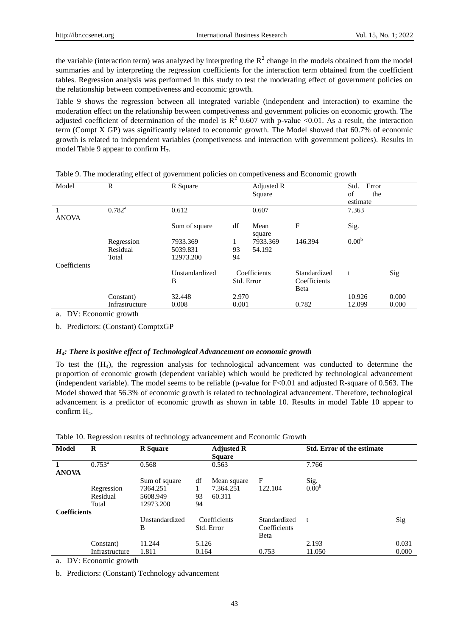the variable (interaction term) was analyzed by interpreting the  $R^2$  change in the models obtained from the model summaries and by interpreting the regression coefficients for the interaction term obtained from the coefficient tables. Regression analysis was performed in this study to test the moderating effect of government policies on the relationship between competiveness and economic growth.

Table 9 shows the regression between all integrated variable (independent and interaction) to examine the moderation effect on the relationship between competiveness and government policies on economic growth. The adjusted coefficient of determination of the model is  $R^2$  0.607 with p-value <0.01. As a result, the interaction term (Compt X GP) was significantly related to economic growth. The Model showed that 60.7% of economic growth is related to independent variables (competiveness and interaction with government polices). Results in model Table 9 appear to confirm  $H_7$ .

| Model        | $\mathbb{R}$    | R Square       |            | Adjusted R<br>Square |              | Error<br>Std.<br>of<br>the |       |
|--------------|-----------------|----------------|------------|----------------------|--------------|----------------------------|-------|
|              |                 |                |            |                      |              | estimate                   |       |
| <b>ANOVA</b> | $0.782^{\rm a}$ | 0.612          |            | 0.607                |              | 7.363                      |       |
|              |                 | Sum of square  | df         | Mean<br>square       | F            | Sig.                       |       |
|              | Regression      | 7933.369       |            | 7933.369             | 146.394      | 0.00 <sup>b</sup>          |       |
|              | Residual        | 5039.831       | 93         | 54.192               |              |                            |       |
|              | Total           | 12973.200      | 94         |                      |              |                            |       |
| Coefficients |                 |                |            |                      |              |                            |       |
|              |                 | Unstandardized |            | Coefficients         | Standardized | t                          | Sig   |
|              |                 | B              | Std. Error |                      | Coefficients |                            |       |
|              |                 |                |            |                      | Beta         |                            |       |
|              | Constant)       | 32.448         | 2.970      |                      |              | 10.926                     | 0.000 |
|              | Infrastructure  | 0.008          | 0.001      |                      | 0.782        | 12.099                     | 0.000 |

Table 9. The moderating effect of government policies on competiveness and Economic growth

a. DV: Economic growth

b. Predictors: (Constant) ComptxGP

## *H4: There is positive effect of Technological Advancement on economic growth*

To test the  $(H_4)$ , the regression analysis for technological advancement was conducted to determine the proportion of economic growth (dependent variable) which would be predicted by technological advancement (independent variable). The model seems to be reliable (p-value for F<0.01 and adjusted R-square of 0.563. The Model showed that 56.3% of economic growth is related to technological advancement. Therefore, technological advancement is a predictor of economic growth as shown in table 10. Results in model Table 10 appear to confirm H4.

| Model               | R               | <b>R</b> Square |       | <b>Adjusted R</b><br><b>Square</b> |              | <b>Std. Error of the estimate</b> |       |
|---------------------|-----------------|-----------------|-------|------------------------------------|--------------|-----------------------------------|-------|
| <b>ANOVA</b>        | $0.753^{\rm a}$ | 0.568           |       | 0.563                              |              | 7.766                             |       |
|                     |                 | Sum of square   | df    | Mean square                        | F            | Sig.                              |       |
|                     | Regression      | 7364.251        |       | 7.364.251                          | 122.104      | 0.00 <sup>b</sup>                 |       |
|                     | Residual        | 5608.949        | 93    | 60.311                             |              |                                   |       |
|                     | Total           | 12973.200       | 94    |                                    |              |                                   |       |
| <b>Coefficients</b> |                 |                 |       |                                    |              |                                   |       |
|                     |                 | Unstandardized  |       | Coefficients                       | Standardized | t                                 | Sig   |
|                     |                 | B               |       | Std. Error                         | Coefficients |                                   |       |
|                     |                 |                 |       |                                    | Beta         |                                   |       |
|                     | Constant)       | 11.244          | 5.126 |                                    |              | 2.193                             | 0.031 |
|                     | Infrastructure  | 1.811           | 0.164 |                                    | 0.753        | 11.050                            | 0.000 |

Table 10. Regression results of technology advancement and Economic Growth

a. DV: Economic growth

b. Predictors: (Constant) Technology advancement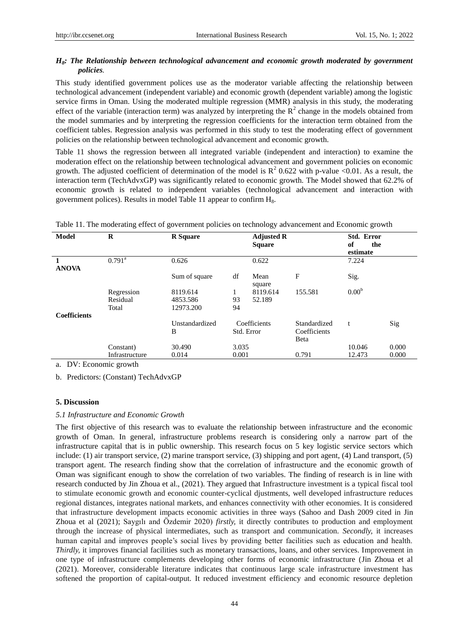# *H8: The Relationship between technological advancement and economic growth moderated by government policies.*

This study identified government polices use as the moderator variable affecting the relationship between technological advancement (independent variable) and economic growth (dependent variable) among the logistic service firms in Oman. Using the moderated multiple regression (MMR) analysis in this study, the moderating effect of the variable (interaction term) was analyzed by interpreting the  $R^2$  change in the models obtained from the model summaries and by interpreting the regression coefficients for the interaction term obtained from the coefficient tables. Regression analysis was performed in this study to test the moderating effect of government policies on the relationship between technological advancement and economic growth.

Table 11 shows the regression between all integrated variable (independent and interaction) to examine the moderation effect on the relationship between technological advancement and government policies on economic growth. The adjusted coefficient of determination of the model is  $R^2$  0.622 with p-value <0.01. As a result, the interaction term (TechAdvxGP) was significantly related to economic growth. The Model showed that 62.2% of economic growth is related to independent variables (technological advancement and interaction with government polices). Results in model Table 11 appear to confirm  $H_8$ .

| <b>Model</b>        | $\bf{R}$        | <b>R</b> Square |            | <b>Adjusted R</b><br><b>Square</b> |                      | Std. Error<br>of<br>the<br>estimate |       |
|---------------------|-----------------|-----------------|------------|------------------------------------|----------------------|-------------------------------------|-------|
| 1<br><b>ANOVA</b>   | $0.791^{\rm a}$ | 0.626           |            | 0.622                              |                      | 7.224                               |       |
|                     |                 | Sum of square   | df         | Mean<br>square                     | F                    | Sig.                                |       |
|                     | Regression      | 8119.614        |            | 8119.614                           | 155.581              | 0.00 <sup>b</sup>                   |       |
|                     | Residual        | 4853.586        | 93         | 52.189                             |                      |                                     |       |
|                     | Total           | 12973.200       | 94         |                                    |                      |                                     |       |
| <b>Coefficients</b> |                 |                 |            |                                    |                      |                                     |       |
|                     |                 | Unstandardized  |            | Coefficients                       | Standardized         | t                                   | Sig   |
|                     |                 | B               | Std. Error |                                    | Coefficients<br>Beta |                                     |       |
|                     | Constant)       | 30.490          | 3.035      |                                    |                      | 10.046                              | 0.000 |
|                     | Infrastructure  | 0.014           | 0.001      |                                    | 0.791                | 12.473                              | 0.000 |

Table 11. The moderating effect of government policies on technology advancement and Economic growth

a. DV: Economic growth

b. Predictors: (Constant) TechAdvxGP

## **5. Discussion**

#### *5.1 Infrastructure and Economic Growth*

The first objective of this research was to evaluate the relationship between infrastructure and the economic growth of Oman. In general, infrastructure problems research is considering only a narrow part of the infrastructure capital that is in public ownership. This research focus on 5 key logistic service sectors which include: (1) air transport service, (2) marine transport service, (3) shipping and port agent, (4) Land transport, (5) transport agent. The research finding show that the correlation of infrastructure and the economic growth of Oman was significant enough to show the correlation of two variables. The finding of research is in line with research conducted by Jin Zhoua et al., (2021). They argued that Infrastructure investment is a typical fiscal tool to stimulate economic growth and economic counter-cyclical djustments, well developed infrastructure reduces regional distances, integrates national markets, and enhances connectivity with other economies. It is considered that infrastructure development impacts economic activities in three ways (Sahoo and Dash 2009 cited in Jin Zhoua et al (2021); Saygılı and Özdemir 2020) *firstly,* it directly contributes to production and employment through the increase of physical intermediates, such as transport and communication. *Secondly,* it increases human capital and improves people"s social lives by providing better facilities such as education and health. *Thirdly,* it improves financial facilities such as monetary transactions, loans, and other services. Improvement in one type of infrastructure complements developing other forms of economic infrastructure (Jin Zhoua et al (2021). Moreover, considerable literature indicates that continuous large scale infrastructure investment has softened the proportion of capital-output. It reduced investment efficiency and economic resource depletion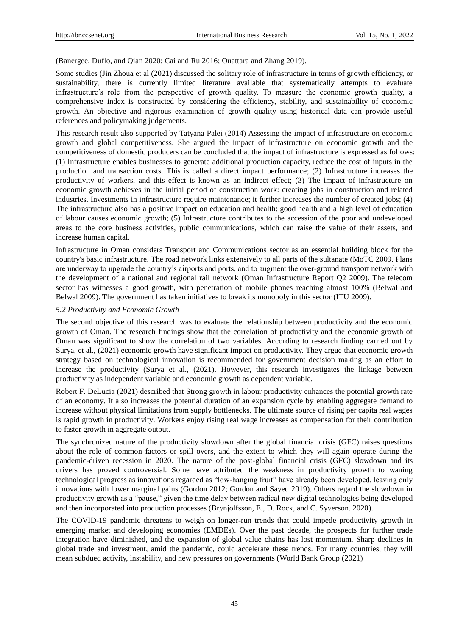(Banergee, Duflo, and Qian 2020; Cai and Ru 2016; Ouattara and Zhang 2019).

Some studies (Jin Zhoua et al (2021) discussed the solitary role of infrastructure in terms of growth efficiency, or sustainability, there is currently limited literature available that systematically attempts to evaluate infrastructure's role from the perspective of growth quality. To measure the economic growth quality, a comprehensive index is constructed by considering the efficiency, stability, and sustainability of economic growth. An objective and rigorous examination of growth quality using historical data can provide useful references and policymaking judgements.

This research result also supported by Tatyana Palei (2014) Assessing the impact of infrastructure on economic growth and global competitiveness. She argued the impact of infrastructure on economic growth and the competitiveness of domestic producers can be concluded that the impact of infrastructure is expressed as follows: (1) Infrastructure enables businesses to generate additional production capacity, reduce the cost of inputs in the production and transaction costs. This is called a direct impact performance; (2) Infrastructure increases the productivity of workers, and this effect is known as an indirect effect; (3) The impact of infrastructure on economic growth achieves in the initial period of construction work: creating jobs in construction and related industries. Investments in infrastructure require maintenance; it further increases the number of created jobs; (4) The infrastructure also has a positive impact on education and health: good health and a high level of education of labour causes economic growth; (5) Infrastructure contributes to the accession of the poor and undeveloped areas to the core business activities, public communications, which can raise the value of their assets, and increase human capital.

Infrastructure in Oman considers Transport and Communications sector as an essential building block for the country's basic infrastructure. The road network links extensively to all parts of the sultanate (MoTC 2009. Plans are underway to upgrade the country"s airports and ports, and to augment the over-ground transport network with the development of a national and regional rail network (Oman Infrastructure Report Q2 2009). The telecom sector has witnesses a good growth, with penetration of mobile phones reaching almost 100% (Belwal and Belwal 2009). The government has taken initiatives to break its monopoly in this sector (ITU 2009).

#### *5.2 Productivity and Economic Growth*

The second objective of this research was to evaluate the relationship between productivity and the economic growth of Oman. The research findings show that the correlation of productivity and the economic growth of Oman was significant to show the correlation of two variables. According to research finding carried out by Surya, et al., (2021) economic growth have significant impact on productivity. They argue that economic growth strategy based on technological innovation is recommended for government decision making as an effort to increase the productivity (Surya et al., (2021). However, this research investigates the linkage between productivity as independent variable and economic growth as dependent variable.

Robert F. DeLucia (2021) described that Strong growth in labour productivity enhances the potential growth rate of an economy. It also increases the potential duration of an expansion cycle by enabling aggregate demand to increase without physical limitations from supply bottlenecks. The ultimate source of rising per capita real wages is rapid growth in productivity. Workers enjoy rising real wage increases as compensation for their contribution to faster growth in aggregate output.

The synchronized nature of the productivity slowdown after the global financial crisis (GFC) raises questions about the role of common factors or spill overs, and the extent to which they will again operate during the pandemic-driven recession in 2020. The nature of the post-global financial crisis (GFC) slowdown and its drivers has proved controversial. Some have attributed the weakness in productivity growth to waning technological progress as innovations regarded as "low-hanging fruit" have already been developed, leaving only innovations with lower marginal gains (Gordon 2012; Gordon and Sayed 2019). Others regard the slowdown in productivity growth as a "pause," given the time delay between radical new digital technologies being developed and then incorporated into production processes (Brynjolfsson, E., D. Rock, and C. Syverson. 2020).

The COVID-19 pandemic threatens to weigh on longer-run trends that could impede productivity growth in emerging market and developing economies (EMDEs). Over the past decade, the prospects for further trade integration have diminished, and the expansion of global value chains has lost momentum. Sharp declines in global trade and investment, amid the pandemic, could accelerate these trends. For many countries, they will mean subdued activity, instability, and new pressures on governments (World Bank Group (2021)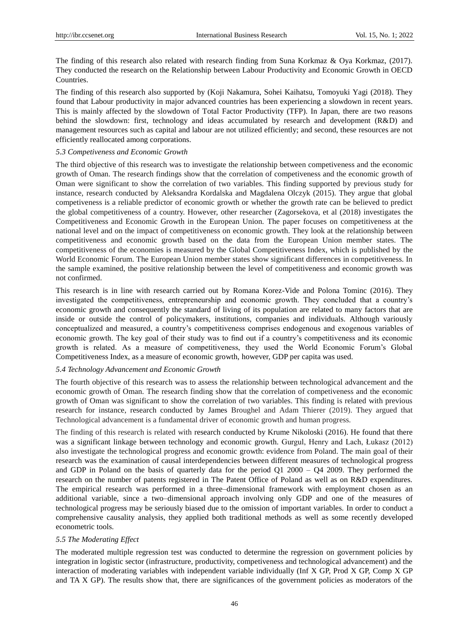The finding of this research also related with research finding from Suna Korkmaz & Oya Korkmaz, (2017). They conducted the research on the Relationship between Labour Productivity and Economic Growth in OECD Countries.

The finding of this research also supported by (Koji Nakamura, Sohei Kaihatsu, Tomoyuki Yagi (2018). They found that Labour productivity in major advanced countries has been experiencing a slowdown in recent years. This is mainly affected by the slowdown of Total Factor Productivity (TFP). In Japan, there are two reasons behind the slowdown: first, technology and ideas accumulated by research and development (R&D) and management resources such as capital and labour are not utilized efficiently; and second, these resources are not efficiently reallocated among corporations.

#### *5.3 Competiveness and Economic Growth*

The third objective of this research was to investigate the relationship between competiveness and the economic growth of Oman. The research findings show that the correlation of competiveness and the economic growth of Oman were significant to show the correlation of two variables. This finding supported by previous study for instance, research conducted by Aleksandra Kordalska and Magdalena Olczyk (2015). They argue that global competiveness is a reliable predictor of economic growth or whether the growth rate can be believed to predict the global competitiveness of a country. However, other researcher (Zagorsekova, et al (2018) investigates the Competitiveness and Economic Growth in the European Union. The paper focuses on competitiveness at the national level and on the impact of competitiveness on economic growth. They look at the relationship between competitiveness and economic growth based on the data from the European Union member states. The competitiveness of the economies is measured by the Global Competitiveness Index, which is published by the World Economic Forum. The European Union member states show significant differences in competitiveness. In the sample examined, the positive relationship between the level of competitiveness and economic growth was not confirmed.

This research is in line with research carried out by Romana Korez-Vide and Polona Tominc (2016). They investigated the competitiveness, entrepreneurship and economic growth. They concluded that a country"s economic growth and consequently the standard of living of its population are related to many factors that are inside or outside the control of policymakers, institutions, companies and individuals. Although variously conceptualized and measured, a country"s competitiveness comprises endogenous and exogenous variables of economic growth. The key goal of their study was to find out if a country"s competitiveness and its economic growth is related. As a measure of competitiveness, they used the World Economic Forum"s Global Competitiveness Index, as a measure of economic growth, however, GDP per capita was used.

## *5.4 Technology Advancement and Economic Growth*

The fourth objective of this research was to assess the relationship between technological advancement and the economic growth of Oman. The research finding show that the correlation of competiveness and the economic growth of Oman was significant to show the correlation of two variables. This finding is related with previous research for instance, research conducted by James Broughel and Adam Thierer (2019). They argued that Technological advancement is a fundamental driver of economic growth and human progress.

The finding of this research is related with research conducted by Krume Nikoloski (2016). He found that there was a significant linkage between technology and economic growth. Gurgul, Henry and Lach, Łukasz (2012) also investigate the technological progress and economic growth: evidence from Poland. The main goal of their research was the examination of causal interdependencies between different measures of technological progress and GDP in Poland on the basis of quarterly data for the period  $Q1\ 2000 - Q4\ 2009$ . They performed the research on the number of patents registered in The Patent Office of Poland as well as on R&D expenditures. The empirical research was performed in a three–dimensional framework with employment chosen as an additional variable, since a two–dimensional approach involving only GDP and one of the measures of technological progress may be seriously biased due to the omission of important variables. In order to conduct a comprehensive causality analysis, they applied both traditional methods as well as some recently developed econometric tools.

## *5.5 The Moderating Effect*

The moderated multiple regression test was conducted to determine the regression on government policies by integration in logistic sector (infrastructure, productivity, competiveness and technological advancement) and the interaction of moderating variables with independent variable individually (Inf X GP, Prod X GP, Comp X GP and TA X GP). The results show that, there are significances of the government policies as moderators of the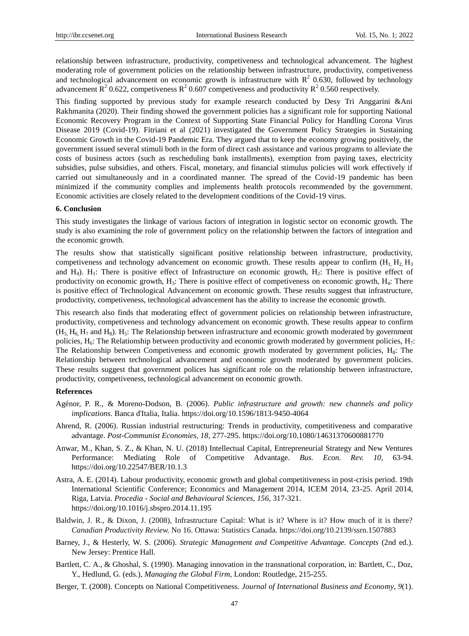relationship between infrastructure, productivity, competiveness and technological advancement. The highest moderating role of government policies on the relationship between infrastructure, productivity, competiveness and technological advancement on economic growth is infrastructure with  $R^2$  0.630, followed by technology advancement  $\mathbb{R}^2$  0.622, competiveness  $\mathbb{R}^2$  0.607 competiveness and productivity  $\mathbb{R}^2$  0.560 respectively.

This finding supported by previous study for example research conducted by Desy Tri Anggarini &Ani Rakhmanita (2020). Their finding showed the government policies has a significant role for supporting National Economic Recovery Program in the Context of Supporting State Financial Policy for Handling Corona Virus Disease 2019 (Covid-19). Fitriani et al (2021) investigated the Government Policy Strategies in Sustaining Economic Growth in the Covid-19 Pandemic Era. They argued that to keep the economy growing positively, the government issued several stimuli both in the form of direct cash assistance and various programs to alleviate the costs of business actors (such as rescheduling bank installments), exemption from paying taxes, electricity subsidies, pulse subsidies, and others. Fiscal, monetary, and financial stimulus policies will work effectively if carried out simultaneously and in a coordinated manner. The spread of the Covid-19 pandemic has been minimized if the community complies and implements health protocols recommended by the government. Economic activities are closely related to the development conditions of the Covid-19 virus.

#### **6. Conclusion**

This study investigates the linkage of various factors of integration in logistic sector on economic growth. The study is also examining the role of government policy on the relationship between the factors of integration and the economic growth.

The results show that statistically significant positive relationship between infrastructure, productivity, competiveness and technology advancement on economic growth. These results appear to confirm ( $H_1$ ,  $H_2$ ,  $H_3$ and  $H_4$ ).  $H_1$ : There is positive effect of Infrastructure on economic growth,  $H_2$ : There is positive effect of productivity on economic growth,  $H_3$ : There is positive effect of competiveness on economic growth,  $H_4$ : There is positive effect of Technological Advancement on economic growth. These results suggest that infrastructure, productivity, competiveness, technological advancement has the ability to increase the economic growth.

This research also finds that moderating effect of government policies on relationship between infrastructure, productivity, competiveness and technology advancement on economic growth. These results appear to confirm  $(H_5, H_6, H_7)$  and  $H_8$ ). H<sub>5</sub>: The Relationship between infrastructure and economic growth moderated by government policies,  $H_6$ : The Relationship between productivity and economic growth moderated by government policies,  $H_7$ : The Relationship between Competiveness and economic growth moderated by government policies,  $H_8$ : The Relationship between technological advancement and economic growth moderated by government policies. These results suggest that government polices has significant role on the relationship between infrastructure, productivity, competiveness, technological advancement on economic growth.

#### **References**

- Agénor, P. R., & Moreno-Dodson, B. (2006). *Public infrastructure and growth: new channels and policy implications.* Banca d'Italia, Italia. https://doi.org/10.1596/1813-9450-4064
- Ahrend, R. (2006). Russian industrial restructuring: Trends in productivity, competitiveness and comparative advantage. *Post-Communist Economies, 18,* 277-295. https://doi.org/10.1080/14631370600881770
- Anwar, M., Khan, S. Z., & Khan, N. U. (2018) Intellectual Capital, Entrepreneurial Strategy and New Ventures Performance: Mediating Role of Competitive Advantage. *Bus. Econ. Rev. 10,* 63-94. https://doi.org/10.22547/BER/10.1.3
- Astra, A. E. (2014). Labour productivity, economic growth and global competitiveness in post-crisis period. 19th International Scientific Conference; Economics and Management 2014, ICEM 2014, 23-25. April 2014, Riga, Latvia. *Procedia - Social and Behavioural Sciences, 156,* 317-321. https://doi.org/10.1016/j.sbspro.2014.11.195
- Baldwin, J. R., & Dixon, J. (2008), Infrastructure Capital: What is it? Where is it? How much of it is there? *Canadian Productivity Review.* No 16. Ottawa: Statistics Canada. https://doi.org/10.2139/ssrn.1507883
- Barney, J., & Hesterly, W. S. (2006). *Strategic Management and Competitive Advantage. Concepts* (2nd ed.). New Jersey: Prentice Hall.
- Bartlett, C. A., & Ghoshal, S. (1990). Managing innovation in the transnational corporation, in: Bartlett, C., Doz, Y., Hedlund, G. (eds.), *Managing the Global Firm,* London: Routledge, 215-255.
- Berger, T. (2008). Concepts on National Competitiveness. *Journal of International Business and Economy*, *9*(1).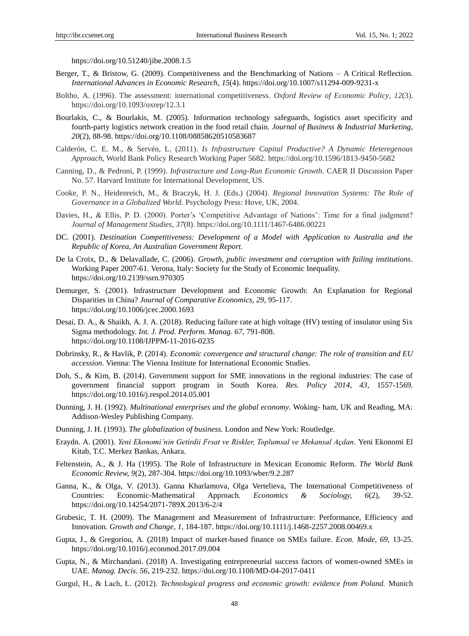https://doi.org/10.51240/jibe.2008.1.5

- Berger, T., & Bristow, G. (2009). Competitiveness and the Benchmarking of Nations A Critical Reflection. *International Advances in Economic Research*, *15*(4). https://doi.org/10.1007/s11294-009-9231-x
- Boltho, A. (1996). The assessment: international competitiveness. *Oxford Review of Economic Policy*, *12*(3). https://doi.org/10.1093/oxrep/12.3.1
- Bourlakis, C., & Bourlakis, M. (2005). Information technology safeguards, logistics asset specificity and fourth-party logistics network creation in the food retail chain. *Journal of Business & Industrial Marketing, 20*(2), 88-98. https://doi.org/10.1108/08858620510583687
- Calderón, C. E. M., & Servén, L. (2011). *Is Infrastructure Capital Productive? A Dynamic Heteregenous Approach,* World Bank Policy Research Working Paper 5682. https://doi.org/10.1596/1813-9450-5682
- Canning, D., & Pedroni, P. (1999). *Infrastructure and Long-Run Economic Growth.* CAER II Discussion Paper No. 57. Harvard Institute for International Development, US.
- Cooke, P. N., Heidenreich, M., & Braczyk, H. J. (Eds.) (2004). *Regional Innovation Systems: The Role of Governance in a Globalized World.* Psychology Press: Hove, UK, 2004.
- Davies, H., & Ellis, P. D. (2000). Porter's 'Competitive Advantage of Nations': Time for a final judgment? *Journal of Management Studies*, *37*(8). https://doi.org/10.1111/1467-6486.00221
- DC. (2001). *Destination Competitiveness: Development of a Model with Application to Australia and the Republic of Korea, An Australian Government Report.*
- De la Croix, D., & Delavallade, C. (2006). *Growth, public investment and corruption with failing institutions.*  Working Paper 2007-61. Verona, Italy: Society for the Study of Economic Inequality. https://doi.org/10.2139/ssrn.970305
- Demurger, S. (2001). Infrastructure Development and Economic Growth: An Explanation for Regional Disparities in China? *Journal of Comparative Economics, 29,* 95-117. https://doi.org/10.1006/jcec.2000.1693
- Desai, D. A., & Shaikh, A. J. A. (2018). Reducing failure rate at high voltage (HV) testing of insulator using Six Sigma methodology. *Int. J. Prod. Perform. Manag. 67,* 791-808. https://doi.org/10.1108/IJPPM-11-2016-0235
- Dobrinsky, R., & Havlik, P. (2014). *Economic convergence and structural change: The role of transition and EU accession.* Vienna: The Vienna Institute for International Economic Studies.
- Doh, S., & Kim, B. (2014). Government support for SME innovations in the regional industries: The case of government financial support program in South Korea. *Res. Policy 2014, 43,* 1557-1569. https://doi.org/10.1016/j.respol.2014.05.001
- Dunning, J. H. (1992). *Multinational enterprises and the global economy*. Woking- ham, UK and Reading, MA: Addison-Wesley Publishing Company.
- Dunning, J. H. (1993). *The globalization of business.* London and New York: Routledge.
- Eraydn. A. (2001). *Yeni Ekonomi'nin Getirdii Frsat ve Riskler, Toplumsal ve Mekansal Açdan.* Yeni Ekonomi El Kitab, T.C. Merkez Bankas, Ankara.
- Feltenstein, A., & J. Ha (1995). The Role of Infrastructure in Mexican Economic Reform. *The World Bank Economic Review, 9*(2), 287-304. https://doi.org/10.1093/wber/9.2.287
- Ganna, K., & Olga, V. (2013). Ganna Kharlamova, Olga Vertelieva, The International Competitiveness of Countries: Economic-Mathematical Approach. *Economics & Sociology, 6*(2), 39-52. https://doi.org/10.14254/2071-789X.2013/6-2/4
- Grubesic, T. H. (2009). The Management and Measurement of Infrastructure: Performance, Efficiency and Innovation. *Growth and Change, 1,* 184-187. https://doi.org/10.1111/j.1468-2257.2008.00469.x
- Gupta, J., & Gregoriou, A. (2018) Impact of market-based finance on SMEs failure. *Econ. Mode, 69,* 13-25. https://doi.org/10.1016/j.econmod.2017.09.004
- Gupta, N., & Mirchandani. (2018) A. Investigating entrepreneurial success factors of women-owned SMEs in UAE. *Manag. Decis. 56,* 219-232. https://doi.org/10.1108/MD-04-2017-0411
- Gurgul, H., & Lach, Ł. (2012). *Technological progress and economic growth: evidence from Poland.* Munich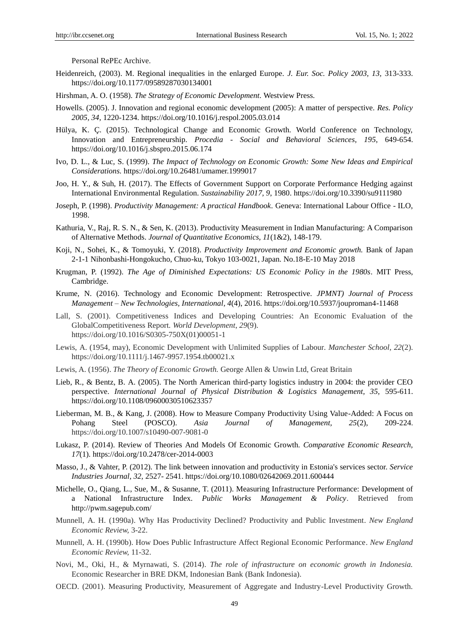Personal RePEc Archive.

- Heidenreich, (2003). M. Regional inequalities in the enlarged Europe. *J. Eur. Soc. Policy 2003, 13,* 313-333. https://doi.org/10.1177/09589287030134001
- Hirshman, A. O. (1958). *The Strategy of Economic Development.* Westview Press.
- Howells. (2005). J. Innovation and regional economic development (2005): A matter of perspective. *Res. Policy 2005, 34,* 1220-1234. https://doi.org/10.1016/j.respol.2005.03.014
- Hülya, K. Ç. (2015). Technological Change and Economic Growth. World Conference on Technology, Innovation and Entrepreneurship. *Procedia - Social and Behavioral Sciences, 195*, 649-654. https://doi.org/10.1016/j.sbspro.2015.06.174
- Ivo, D. L., & Luc, S. (1999). *The Impact of Technology on Economic Growth: Some New Ideas and Empirical Considerations.* https://doi.org/10.26481/umamer.1999017
- Joo, H. Y., & Suh, H. (2017). The Effects of Government Support on Corporate Performance Hedging against International Environmental Regulation. *Sustainability 2017, 9*, 1980. https://doi.org/10.3390/su9111980
- Joseph, P. (1998). *Productivity Management: A practical Handbook.* Geneva: International Labour Office ILO, 1998.
- Kathuria, V., Raj, R. S. N., & Sen, K. (2013). Productivity Measurement in Indian Manufacturing: A Comparison of Alternative Methods. *Journal of Quantitative Economics, 11*(1&2), 148-179.
- Koji, N., Sohei, K., & Tomoyuki, Y. (2018). *Productivity Improvement and Economic growth.* Bank of Japan 2-1-1 Nihonbashi-Hongokucho, Chuo-ku, Tokyo 103-0021, Japan. No.18-E-10 May 2018
- Krugman, P. (1992). *The Age of Diminished Expectations: US Economic Policy in the 1980s*. MIT Press, Cambridge.
- Krume, N. (2016). Technology and Economic Development: Retrospective. *JPMNT) Journal of Process Management – New Technologies, International, 4*(4), 2016. https://doi.org/10.5937/jouproman4-11468
- Lall, S. (2001). Competitiveness Indices and Developing Countries: An Economic Evaluation of the GlobalCompetitiveness Report*. World Development*, *29*(9). https://doi.org/10.1016/S0305-750X(01)00051-1
- Lewis, A. (1954, may), Economic Development with Unlimited Supplies of Labour. *Manchester School, 22*(2). https://doi.org/10.1111/j.1467-9957.1954.tb00021.x
- Lewis, A. (1956). *The Theory of Economic Growth.* George Allen & Unwin Ltd, Great Britain
- Lieb, R., & Bentz, B. A. (2005). The North American third-party logistics industry in 2004: the provider CEO perspective. *International Journal of Physical Distribution & Logistics Management, 35, 595-611*. https://doi.org/10.1108/09600030510623357
- Lieberman, M. B., & Kang, J. (2008). How to Measure Company Productivity Using Value-Added: A Focus on Pohang Steel (POSCO). *Asia Journal of Management, 25*(2), 209-224. https://doi.org/10.1007/s10490-007-9081-0
- Lukasz, P. (2014). Review of Theories And Models Of Economic Growth. *Comparative Economic Research, 17*(1). https://doi.org/10.2478/cer-2014-0003
- Masso, J., & Vahter, P. (2012). The link between innovation and productivity in Estonia's services sector. *Service Industries Journal, 32,* 2527- 2541. https://doi.org/10.1080/02642069.2011.600444
- Michelle, O., Qiang, L., Sue, M., & Susanne, T. (2011). Measuring Infrastructure Performance: Development of a National Infrastructure Index. *Public Works Management & Policy*. Retrieved from http://pwm.sagepub.com/
- Munnell, A. H. (1990a). Why Has Productivity Declined? Productivity and Public Investment. *New England Economic Review,* 3-22.
- Munnell, A. H. (1990b). How Does Public Infrastructure Affect Regional Economic Performance. *New England Economic Review,* 11-32.
- Novi, M., Oki, H., & Myrnawati, S. (2014). *The role of infrastructure on economic growth in Indonesia.*  Economic Researcher in BRE DKM, Indonesian Bank (Bank Indonesia).
- OECD. (2001). Measuring Productivity, Measurement of Aggregate and Industry-Level Productivity Growth.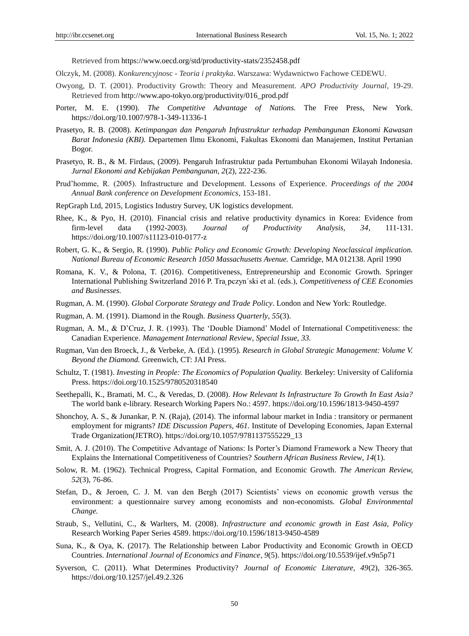Retrieved from https://www.oecd.org/std/productivity-stats/2352458.pdf

- Olczyk, M. (2008). *Konkurencyjno*sc *- Teoria i praktyka*. Warszawa: Wydawnictwo Fachowe CEDEWU.
- Owyong, D. T. (2001). Productivity Growth: Theory and Measurement. *APO Productivity Journal*, 19-29. Retrieved from http://www.apo-tokyo.org/productivity/016\_prod.pdf
- Porter, M. E. (1990). *The Competitive Advantage of Nations.* The Free Press, New York. https://doi.org/10.1007/978-1-349-11336-1
- Prasetyo, R. B. (2008). *Ketimpangan dan Pengaruh Infrastruktur terhadap Pembangunan Ekonomi Kawasan Barat Indonesia (KBI).* Departemen Ilmu Ekonomi, Fakultas Ekonomi dan Manajemen, Institut Pertanian Bogor.
- Prasetyo, R. B., & M. Firdaus, (2009). Pengaruh Infrastruktur pada Pertumbuhan Ekonomi Wilayah Indonesia. *Jurnal Ekonomi and Kebijakan Pembangunan, 2*(2), 222-236.
- Prud"homme, R. (2005). Infrastructure and Development. Lessons of Experience. *Proceedings of the 2004 Annual Bank conference on Development Economics,* 153-181.
- RepGraph Ltd, 2015, Logistics Industry Survey, UK logistics development.
- Rhee, K., & Pyo, H. (2010). Financial crisis and relative productivity dynamics in Korea: Evidence from firm-level data (1992-2003). *Journal of Productivity Analysis, 34*, 111-131. https://doi.org/10.1007/s11123-010-0177-z
- Robert, G. K., & Sergio, R. (1990). *Public Policy and Economic Growth: Developing Neoclassical implication. National Bureau of Economic Research 1050 Massachusetts Avenue.* Camridge, MA 012138. April 1990
- Romana, K. V., & Polona, T. (2016). Competitiveness, Entrepreneurship and Economic Growth. Springer International Publishing Switzerland 2016 P. Tra pczyn'ski et al. (eds.), *Competitiveness of CEE Economies and Businesses.*
- Rugman, A. M. (1990). *Global Corporate Strategy and Trade Policy*. London and New York: Routledge.
- Rugman, A. M. (1991). Diamond in the Rough. *Business Quarterly*, *55*(3).
- Rugman, A. M., & D"Cruz, J. R. (1993). The "Double Diamond" Model of International Competitiveness: the Canadian Experience. *Management International Review*, *Special Issue, 33.*
- Rugman, Van den Broeck, J., & Verbeke, A. (Ed.). (1995)*. Research in Global Strategic Management: Volume V. Beyond the Diamond.* Greenwich, CT: JAI Press.
- Schultz, T. (1981). *Investing in People: The Economics of Population Quality.* Berkeley: University of California Press. https://doi.org/10.1525/9780520318540
- Seethepalli, K., Bramati, M. C., & Veredas, D. (2008). *How Relevant Is Infrastructure To Growth In East Asia?*  The world bank e-library. Research Working Papers No.: 4597. https://doi.org/10.1596/1813-9450-4597
- Shonchoy, A. S., & Junankar, P. N. (Raja), (2014). [The informal labour market in India : transitory or permanent](https://ideas.repec.org/p/jet/dpaper/dpaper461.html)  [employment for migrants?](https://ideas.repec.org/p/jet/dpaper/dpaper461.html) *[IDE Discussion Papers,](https://ideas.repec.org/s/jet/dpaper.html) 461.* Institute of Developing Economies, Japan External Trade Organization(JETRO). https://doi.org/10.1057/9781137555229\_13
- Smit, A. J. (2010). The Competitive Advantage of Nations: Is Porter"s Diamond Framework a New Theory that Explains the International Competitiveness of Countries? *Southern African Business Review*, *14*(1).
- Solow, R. M. (1962). Technical Progress, Capital Formation, and Economic Growth. *The American Review, 52*(3), 76-86.
- Stefan, D., & Jeroen, C. J. M. van den Bergh (2017) Scientists' views on economic growth versus the environment: a questionnaire survey among economists and non-economists. *Global Environmental Change.*
- Straub, S., Vellutini, C., & Warlters, M. (2008). *Infrastructure and economic growth in East Asia, Policy*  Research Working Paper Series 4589. https://doi.org/10.1596/1813-9450-4589
- Suna, K., & Oya, K. (2017). The Relationship between Labor Productivity and Economic Growth in OECD Countries. *International Journal of Economics and Finance, 9*(5). https://doi.org/10.5539/ijef.v9n5p71
- Syverson, C. (2011). What Determines Productivity? *Journal of Economic Literature, 49*(2), 326-365. https://doi.org/10.1257/jel.49.2.326